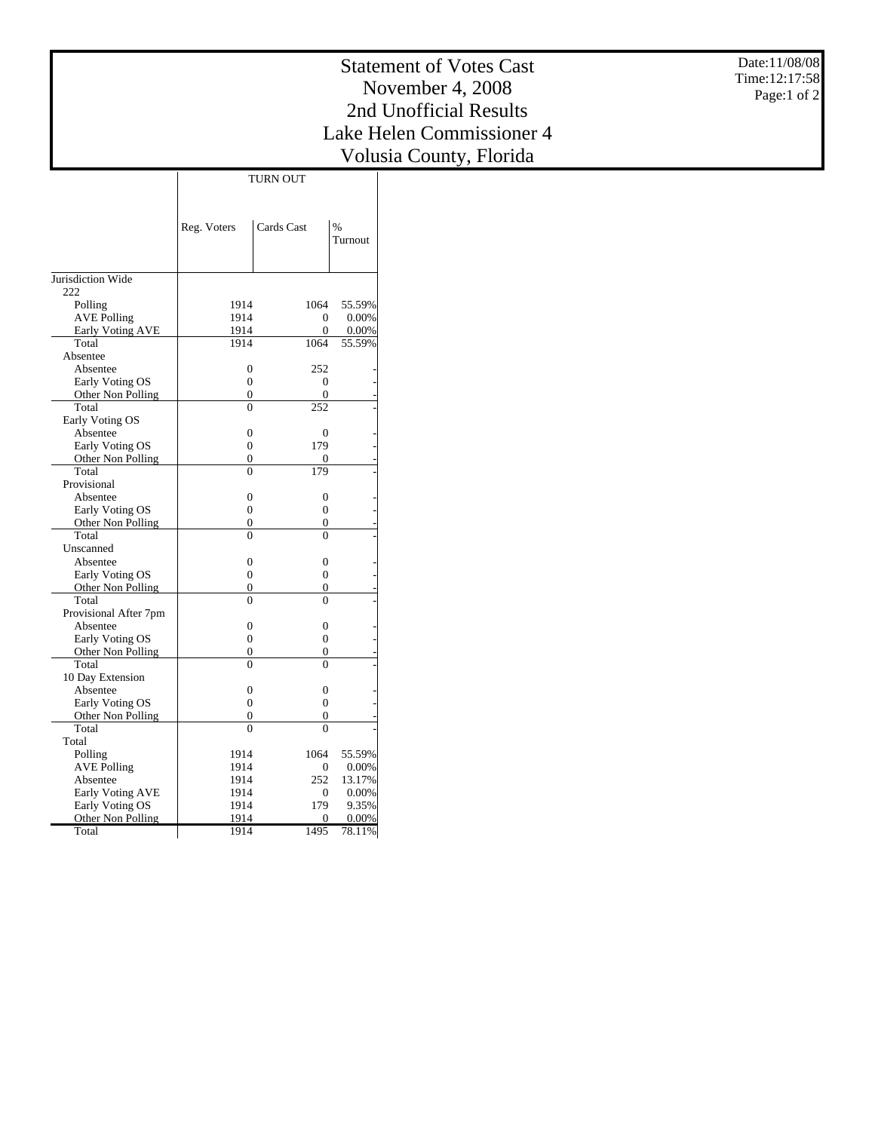Date:11/08/08 Time:12:17:58 Page:1 of 2

## Statement of Votes Cast November 4, 2008 2nd Unofficial Results Lake Helen Commissioner 4 Volusia County, Florida

TURN OUT

|                         | Reg. Voters      | Cards Cast       | $\frac{9}{6}$<br>Turnout |
|-------------------------|------------------|------------------|--------------------------|
| Jurisdiction Wide       |                  |                  |                          |
| 222                     |                  |                  |                          |
| Polling                 | 1914             | 1064             | 55.59%                   |
| <b>AVE Polling</b>      | 1914             | $\Omega$         | 0.00%                    |
| <b>Early Voting AVE</b> | 1914             | $\theta$         | 0.00%                    |
| Total                   | 1914             | 1064             | 55.59%                   |
| Absentee                |                  |                  |                          |
| Absentee                | $\overline{0}$   | 252              |                          |
| Early Voting OS         | 0                | 0                |                          |
| Other Non Polling       | $\overline{0}$   | 0                |                          |
| Total                   | $\overline{0}$   | 252              |                          |
| Early Voting OS         |                  |                  |                          |
| Absentee                | $\overline{0}$   | $\overline{0}$   |                          |
| Early Voting OS         | $\overline{0}$   | 179              |                          |
| Other Non Polling       | $\overline{0}$   | 0                |                          |
| Total                   | $\overline{0}$   | 179              |                          |
| Provisional             |                  |                  |                          |
| Absentee                | $\overline{0}$   | $\boldsymbol{0}$ |                          |
| Early Voting OS         | $\boldsymbol{0}$ | $\mathbf{0}$     |                          |
| Other Non Polling       | $\Omega$         | 0                |                          |
| Total                   | $\theta$         | $\theta$         |                          |
| Unscanned               |                  |                  |                          |
| Absentee                | $\overline{0}$   | $\mathbf{0}$     |                          |
| Early Voting OS         | $\overline{0}$   | $\overline{0}$   |                          |
| Other Non Polling       | $\overline{0}$   | 0                |                          |
| Total                   | $\theta$         | $\theta$         |                          |
| Provisional After 7pm   |                  |                  |                          |
| Absentee                | $\theta$         | $\Omega$         |                          |
| Early Voting OS         | $\theta$         | $\Omega$         |                          |
| Other Non Polling       | $\theta$         | 0                |                          |
| Total                   | $\theta$         | $\Omega$         |                          |
| 10 Day Extension        |                  |                  |                          |
| Absentee                | $\overline{0}$   | $\overline{0}$   |                          |
| Early Voting OS         | $\overline{0}$   | $\overline{0}$   |                          |
| Other Non Polling       | $\overline{0}$   | 0                |                          |
| Total                   | $\theta$         | $\theta$         |                          |
| Total                   |                  |                  |                          |
| Polling                 | 1914             | 1064             | 55.59%                   |
| <b>AVE Polling</b>      | 1914             | 0                | 0.00%                    |
| Absentee                | 1914             | 252              | 13.17%                   |
| <b>Early Voting AVE</b> | 1914             | 0                | 0.00%                    |
| Early Voting OS         | 1914             | 179              | 9.35%                    |
| Other Non Polling       | 1914             | 0                | 0.00%                    |
| Total                   | 1914             | 1495             | 78.11%                   |